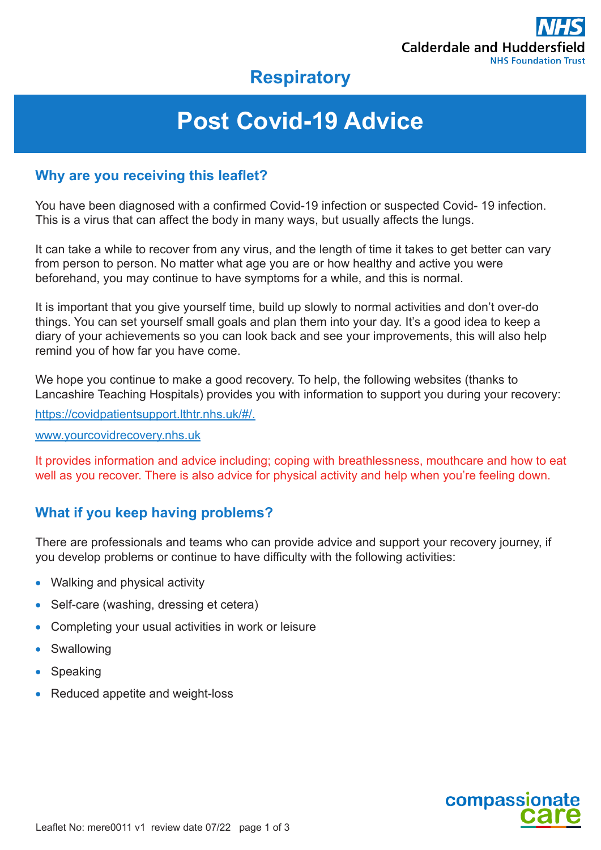

# **Respiratory**

# **Post Covid-19 Advice**

#### **Why are you receiving this leaflet?**

You have been diagnosed with a confirmed Covid-19 infection or suspected Covid- 19 infection. This is a virus that can affect the body in many ways, but usually affects the lungs.

It can take a while to recover from any virus, and the length of time it takes to get better can vary from person to person. No matter what age you are or how healthy and active you were beforehand, you may continue to have symptoms for a while, and this is normal.

It is important that you give yourself time, build up slowly to normal activities and don't over-do things. You can set yourself small goals and plan them into your day. It's a good idea to keep a diary of your achievements so you can look back and see your improvements, this will also help remind you of how far you have come.

We hope you continue to make a good recovery. To help, the following websites (thanks to Lancashire Teaching Hospitals) provides you with information to support you during your recovery:

https://covidpatientsupport.lthtr.nhs.uk/#/.

#### www.yourcovidrecovery.nhs.uk

It provides information and advice including; coping with breathlessness, mouthcare and how to eat well as you recover. There is also advice for physical activity and help when you're feeling down.

## **What if you keep having problems?**

There are professionals and teams who can provide advice and support your recovery journey, if you develop problems or continue to have difficulty with the following activities:

- Walking and physical activity
- Self-care (washing, dressing et cetera)
- Completing your usual activities in work or leisure
- **Swallowing**
- **Speaking**
- Reduced appetite and weight-loss

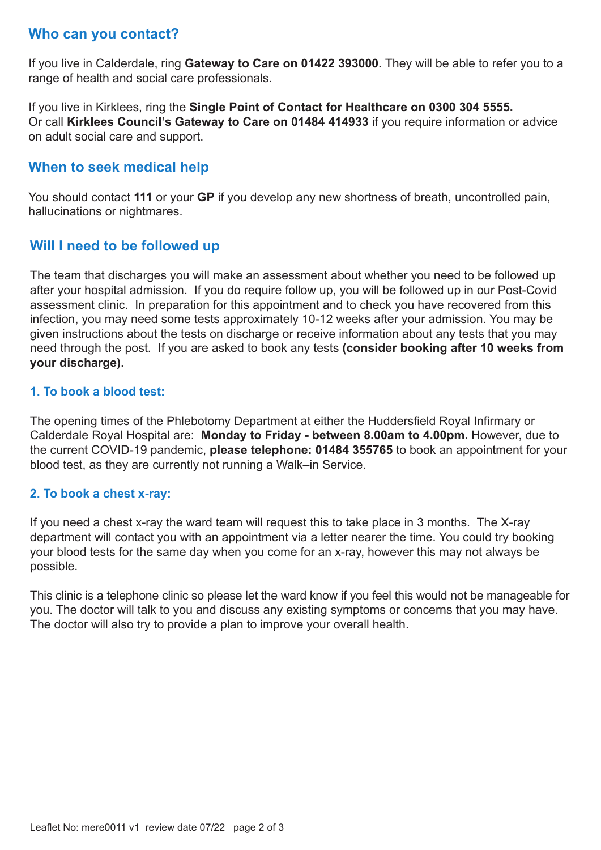### **Who can you contact?**

If you live in Calderdale, ring **Gateway to Care on 01422 393000.** They will be able to refer you to a range of health and social care professionals.

If you live in Kirklees, ring the **Single Point of Contact for Healthcare on 0300 304 5555.** Or call **Kirklees Council's Gateway to Care on 01484 414933** if you require information or advice on adult social care and support.

#### **When to seek medical help**

You should contact **111** or your **GP** if you develop any new shortness of breath, uncontrolled pain, hallucinations or nightmares.

#### **Will I need to be followed up**

The team that discharges you will make an assessment about whether you need to be followed up after your hospital admission. If you do require follow up, you will be followed up in our Post-Covid assessment clinic. In preparation for this appointment and to check you have recovered from this infection, you may need some tests approximately 10-12 weeks after your admission. You may be given instructions about the tests on discharge or receive information about any tests that you may need through the post. If you are asked to book any tests **(consider booking after 10 weeks from your discharge).** 

#### **1. To book a blood test:**

The opening times of the Phlebotomy Department at either the Huddersfield Royal Infirmary or Calderdale Royal Hospital are: **Monday to Friday - between 8.00am to 4.00pm.** However, due to the current COVID-19 pandemic, **please telephone: 01484 355765** to book an appointment for your blood test, as they are currently not running a Walk–in Service.

#### **2. To book a chest x-ray:**

If you need a chest x-ray the ward team will request this to take place in 3 months. The X-ray department will contact you with an appointment via a letter nearer the time. You could try booking your blood tests for the same day when you come for an x-ray, however this may not always be possible.

This clinic is a telephone clinic so please let the ward know if you feel this would not be manageable for you. The doctor will talk to you and discuss any existing symptoms or concerns that you may have. The doctor will also try to provide a plan to improve your overall health.